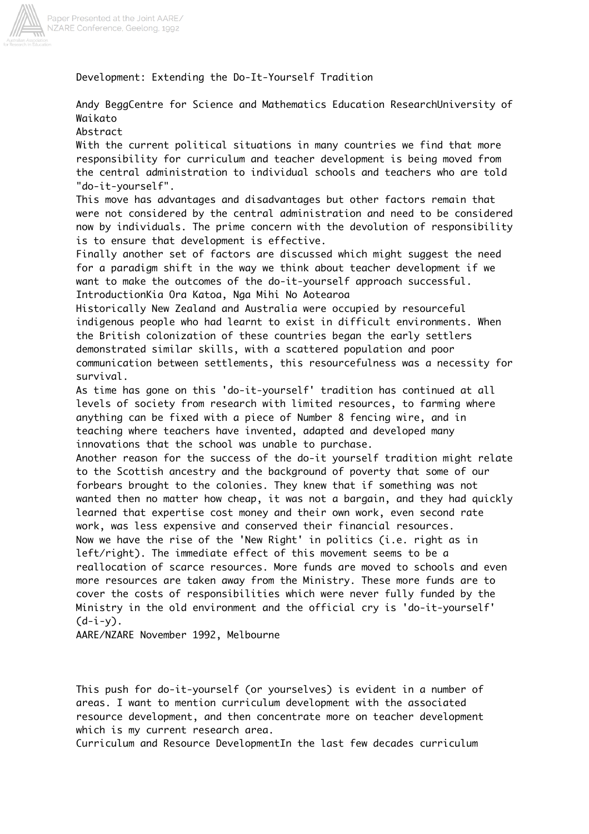

Paper Presented at the Joint AARE/<br>NZARE Conference, Geelong, 1992

Development: Extending the Do-It-Yourself Tradition

Andy BeggCentre for Science and Mathematics Education ResearchUniversity of Waikato

Abstract

With the current political situations in many countries we find that more responsibility for curriculum and teacher development is being moved from the central administration to individual schools and teachers who are told "do-it-yourself".

This move has advantages and disadvantages but other factors remain that were not considered by the central administration and need to be considered now by individuals. The prime concern with the devolution of responsibility is to ensure that development is effective.

Finally another set of factors are discussed which might suggest the need for a paradigm shift in the way we think about teacher development if we want to make the outcomes of the do-it-yourself approach successful. IntroductionKia Ora Katoa, Nga Mihi No Aotearoa

Historically New Zealand and Australia were occupied by resourceful indigenous people who had learnt to exist in difficult environments. When the British colonization of these countries began the early settlers demonstrated similar skills, with a scattered population and poor communication between settlements, this resourcefulness was a necessity for survival.

As time has gone on this 'do-it-yourself' tradition has continued at all levels of society from research with limited resources, to farming where anything can be fixed with a piece of Number 8 fencing wire, and in teaching where teachers have invented, adapted and developed many innovations that the school was unable to purchase.

Another reason for the success of the do-it yourself tradition might relate to the Scottish ancestry and the background of poverty that some of our forbears brought to the colonies. They knew that if something was not wanted then no matter how cheap, it was not a bargain, and they had quickly learned that expertise cost money and their own work, even second rate work, was less expensive and conserved their financial resources. Now we have the rise of the 'New Right' in politics (i.e. right as in left/right). The immediate effect of this movement seems to be a reallocation of scarce resources. More funds are moved to schools and even more resources are taken away from the Ministry. These more funds are to cover the costs of responsibilities which were never fully funded by the Ministry in the old environment and the official cry is 'do-it-yourself'  $(d-i-y)$ .

AARE/NZARE November 1992, Melbourne

This push for do-it-yourself (or yourselves) is evident in a number of areas. I want to mention curriculum development with the associated resource development, and then concentrate more on teacher development which is my current research area.

Curriculum and Resource DevelopmentIn the last few decades curriculum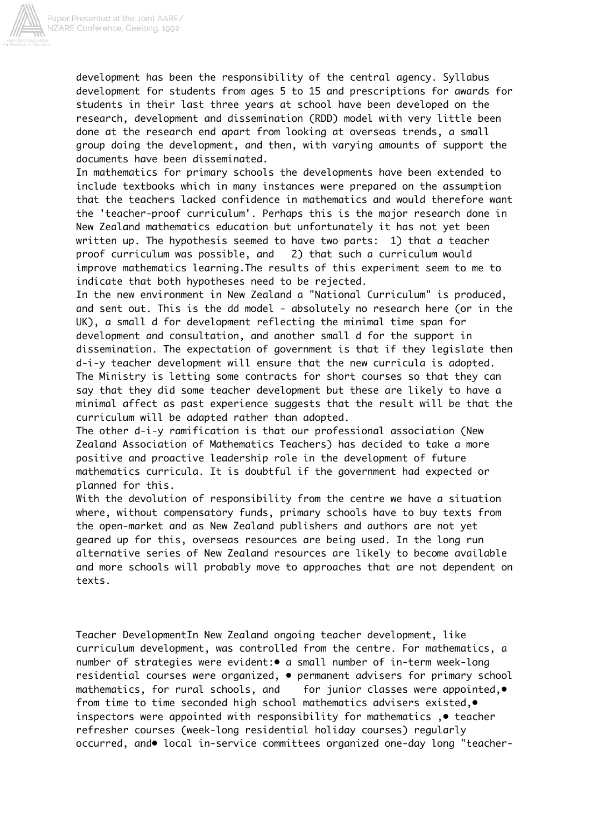

development has been the responsibility of the central agency. Syllabus development for students from ages 5 to 15 and prescriptions for awards for students in their last three years at school have been developed on the research, development and dissemination (RDD) model with very little been done at the research end apart from looking at overseas trends, a small group doing the development, and then, with varying amounts of support the documents have been disseminated.

In mathematics for primary schools the developments have been extended to include textbooks which in many instances were prepared on the assumption that the teachers lacked confidence in mathematics and would therefore want the 'teacher-proof curriculum'. Perhaps this is the major research done in New Zealand mathematics education but unfortunately it has not yet been written up. The hypothesis seemed to have two parts: 1) that a teacher proof curriculum was possible, and 2) that such a curriculum would improve mathematics learning.The results of this experiment seem to me to indicate that both hypotheses need to be rejected.

In the new environment in New Zealand a "National Curriculum" is produced, and sent out. This is the dd model - absolutely no research here (or in the UK), a small d for development reflecting the minimal time span for development and consultation, and another small d for the support in dissemination. The expectation of government is that if they legislate then d-i-y teacher development will ensure that the new curricula is adopted. The Ministry is letting some contracts for short courses so that they can say that they did some teacher development but these are likely to have a minimal affect as past experience suggests that the result will be that the curriculum will be adapted rather than adopted.

The other d-i-y ramification is that our professional association (New Zealand Association of Mathematics Teachers) has decided to take a more positive and proactive leadership role in the development of future mathematics curricula. It is doubtful if the government had expected or planned for this.

With the devolution of responsibility from the centre we have a situation where, without compensatory funds, primary schools have to buy texts from the open-market and as New Zealand publishers and authors are not yet geared up for this, overseas resources are being used. In the long run alternative series of New Zealand resources are likely to become available and more schools will probably move to approaches that are not dependent on texts.

Teacher DevelopmentIn New Zealand ongoing teacher development, like curriculum development, was controlled from the centre. For mathematics, a number of strategies were evident:• a small number of in-term week-long residential courses were organized, • permanent advisers for primary school mathematics, for rural schools, and for junior classes were appointed,• from time to time seconded high school mathematics advisers existed,• inspectors were appointed with responsibility for mathematics ,• teacher refresher courses (week-long residential holiday courses) regularly occurred, and• local in-service committees organized one-day long "teacher-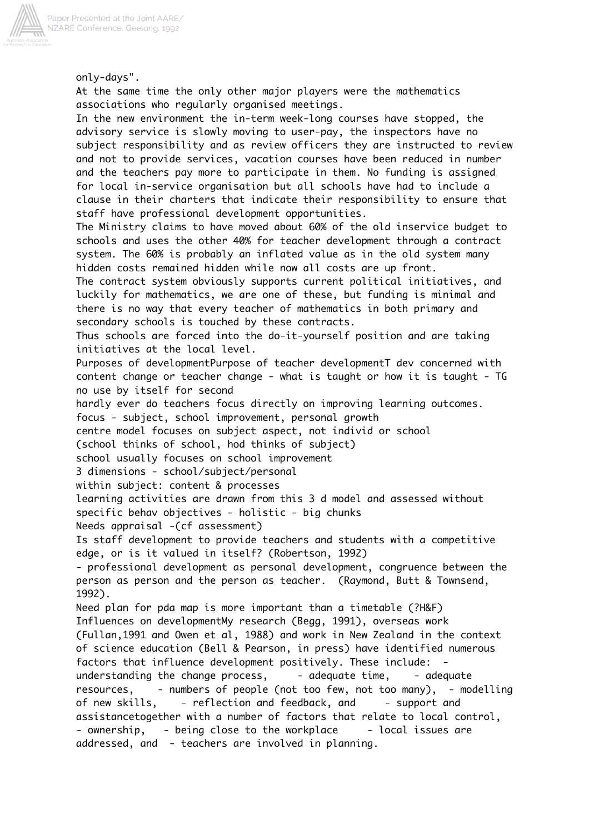

only-days". At the same time the only other major players were the mathematics associations who regularly organised meetings. In the new environment the in-term week-long courses have stopped, the advisory service is slowly moving to user-pay, the inspectors have no subject responsibility and as review officers they are instructed to review and not to provide services, vacation courses have been reduced in number and the teachers pay more to participate in them. No funding is assigned for local in-service organisation but all schools have had to include a clause in their charters that indicate their responsibility to ensure that staff have professional development opportunities. The Ministry claims to have moved about 60% of the old inservice budget to schools and uses the other 40% for teacher development through a contract system. The 60% is probably an inflated value as in the old system many hidden costs remained hidden while now all costs are up front. The contract system obviously supports current political initiatives, and luckily for mathematics, we are one of these, but funding is minimal and there is no way that every teacher of mathematics in both primary and secondary schools is touched by these contracts. Thus schools are forced into the do-it-yourself position and are taking initiatives at the local level. Purposes of developmentPurpose of teacher developmentT dev concerned with content change or teacher change - what is taught or how it is taught - TG no use by itself for second hardly ever do teachers focus directly on improving learning outcomes. focus - subject, school improvement, personal growth centre model focuses on subject aspect, not individ or school (school thinks of school, hod thinks of subject) school usually focuses on school improvement 3 dimensions - school/subject/personal within subject: content & processes learning activities are drawn from this 3 d model and assessed without specific behav objectives - holistic - big chunks Needs appraisal -(cf assessment) Is staff development to provide teachers and students with a competitive edge, or is it valued in itself? (Robertson, 1992) - professional development as personal development, congruence between the person as person and the person as teacher. (Raymond, Butt & Townsend, 1992). Need plan for pda map is more important than a timetable (?H&F) Influences on developmentMy research (Begg, 1991), overseas work (Fullan,1991 and Owen et al, 1988) and work in New Zealand in the context of science education (Bell & Pearson, in press) have identified numerous factors that influence development positively. These include: understanding the change process,  $-$  adequate time,  $-$  adequate resources, - numbers of people (not too few, not too many), - modelling of new skills, - reflection and feedback, and - support and assistancetogether with a number of factors that relate to local control, - ownership, - being close to the workplace - local issues are addressed, and - teachers are involved in planning.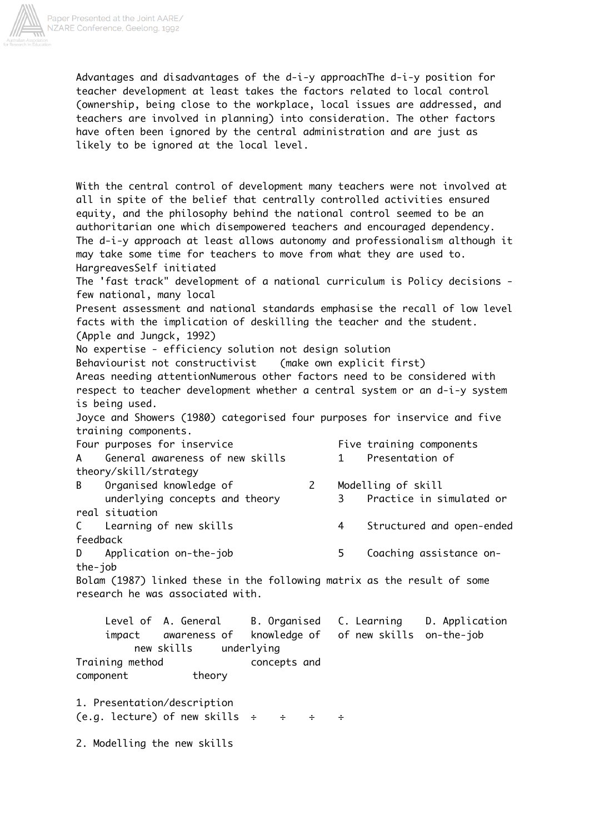

Advantages and disadvantages of the d-i-y approachThe d-i-y position for teacher development at least takes the factors related to local control (ownership, being close to the workplace, local issues are addressed, and teachers are involved in planning) into consideration. The other factors have often been ignored by the central administration and are just as likely to be ignored at the local level.

With the central control of development many teachers were not involved at all in spite of the belief that centrally controlled activities ensured equity, and the philosophy behind the national control seemed to be an authoritarian one which disempowered teachers and encouraged dependency. The d-i-y approach at least allows autonomy and professionalism although it may take some time for teachers to move from what they are used to. HargreavesSelf initiated The 'fast track" development of a national curriculum is Policy decisions few national, many local Present assessment and national standards emphasise the recall of low level facts with the implication of deskilling the teacher and the student. (Apple and Jungck, 1992) No expertise - efficiency solution not design solution Behaviourist not constructivist (make own explicit first) Areas needing attentionNumerous other factors need to be considered with respect to teacher development whether a central system or an d-i-y system is being used. Joyce and Showers (1980) categorised four purposes for inservice and five training components. Four purposes for inservice The Rive training components A General awareness of new skills 1 Presentation of theory/skill/strategy B Organised knowledge of 2 Modelling of skill underlying concepts and theory 3 Practice in simulated or real situation C Learning of new skills 4 Structured and open-ended feedback D Application on-the-job 5 Coaching assistance onthe-job Bolam (1987) linked these in the following matrix as the result of some research he was associated with. Level of A. General B. Organised C. Learning D. Application impact awareness of knowledge of of new skills on-the-job new skills underlying Training method concepts and component theory 1. Presentation/description (e.g. lecture) of new skills  $\div$   $\div$   $\div$   $\div$ 

2. Modelling the new skills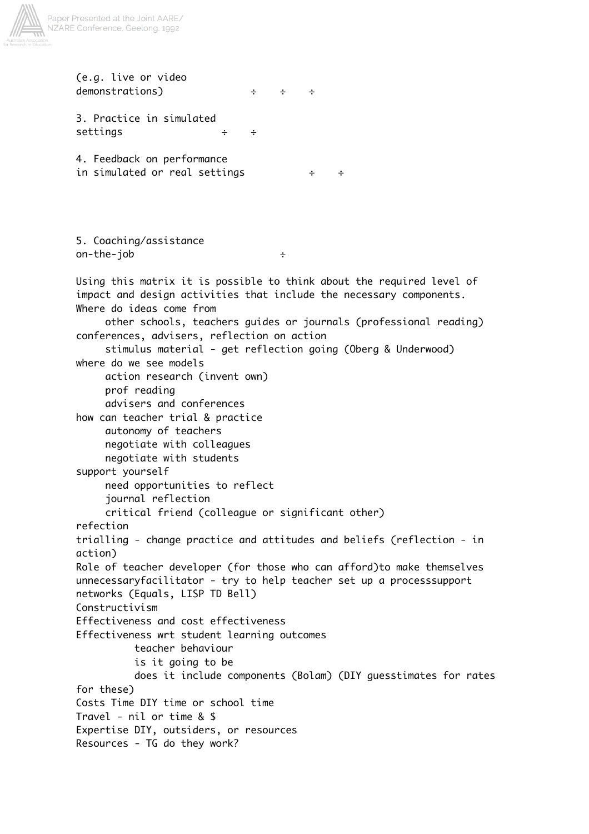

(e.g. live or video demonstrations) ÷ ÷ ÷ 3. Practice in simulated settings ÷ ÷ 4. Feedback on performance in simulated or real settings ÷ ÷ 5. Coaching/assistance on-the-job ÷ Using this matrix it is possible to think about the required level of impact and design activities that include the necessary components. Where do ideas come from other schools, teachers guides or journals (professional reading) conferences, advisers, reflection on action stimulus material - get reflection going (Oberg & Underwood) where do we see models action research (invent own) prof reading advisers and conferences how can teacher trial & practice autonomy of teachers negotiate with colleagues negotiate with students support yourself need opportunities to reflect journal reflection critical friend (colleague or significant other) refection trialling - change practice and attitudes and beliefs (reflection - in action) Role of teacher developer (for those who can afford)to make themselves unnecessaryfacilitator - try to help teacher set up a processsupport networks (Equals, LISP TD Bell) Constructivism Effectiveness and cost effectiveness Effectiveness wrt student learning outcomes teacher behaviour is it going to be does it include components (Bolam) (DIY guesstimates for rates for these) Costs Time DIY time or school time Travel - nil or time & \$ Expertise DIY, outsiders, or resources Resources - TG do they work?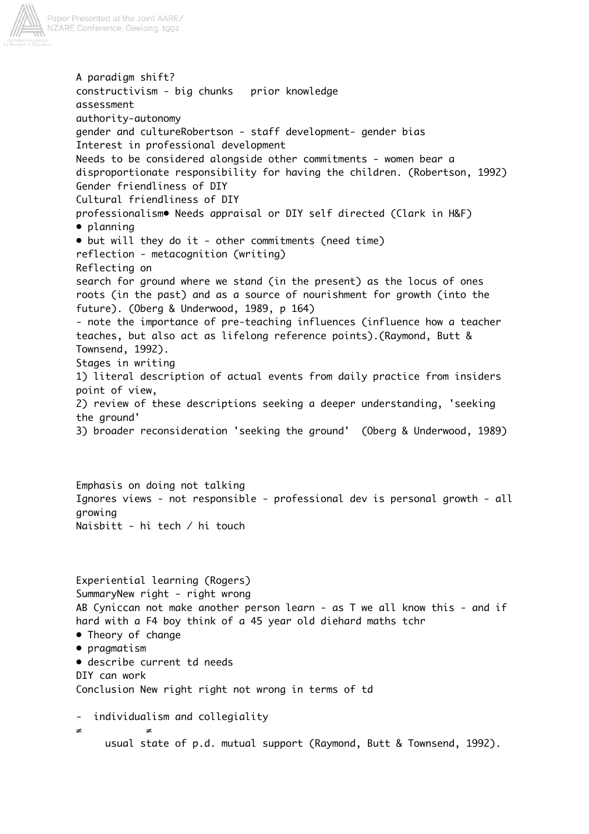

A paradigm shift? constructivism - big chunks prior knowledge assessment authority-autonomy gender and cultureRobertson - staff development- gender bias Interest in professional development Needs to be considered alongside other commitments - women bear a disproportionate responsibility for having the children. (Robertson, 1992) Gender friendliness of DIY Cultural friendliness of DIY professionalism• Needs appraisal or DIY self directed (Clark in H&F) • planning • but will they do it - other commitments (need time) reflection - metacognition (writing) Reflecting on search for ground where we stand (in the present) as the locus of ones roots (in the past) and as a source of nourishment for growth (into the future). (Oberg & Underwood, 1989, p 164) - note the importance of pre-teaching influences (influence how a teacher teaches, but also act as lifelong reference points).(Raymond, Butt & Townsend, 1992). Stages in writing 1) literal description of actual events from daily practice from insiders point of view, 2) review of these descriptions seeking a deeper understanding, 'seeking the ground' 3) broader reconsideration 'seeking the ground' (Oberg & Underwood, 1989) Emphasis on doing not talking Ignores views - not responsible - professional dev is personal growth - all growing Naisbitt - hi tech / hi touch Experiential learning (Rogers) SummaryNew right - right wrong AB Cyniccan not make another person learn - as T we all know this - and if hard with a F4 boy think of a 45 year old diehard maths tchr • Theory of change • pragmatism • describe current td needs DIY can work Conclusion New right right not wrong in terms of td - individualism and collegiality ≠ ≠

usual state of p.d. mutual support (Raymond, Butt & Townsend, 1992).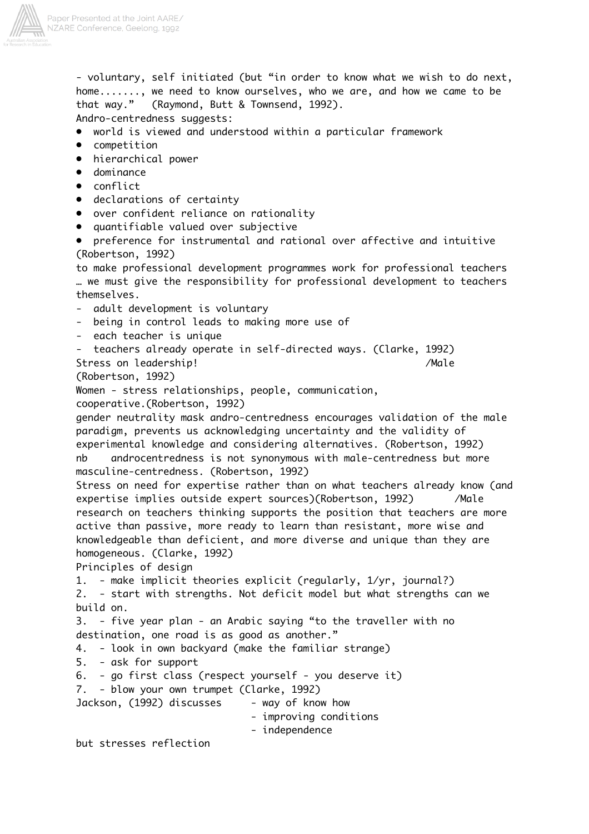

- voluntary, self initiated (but "in order to know what we wish to do next, home......., we need to know ourselves, who we are, and how we came to be that way." (Raymond, Butt & Townsend, 1992). Andro-centredness suggests: • world is viewed and understood within a particular framework • competition • hierarchical power • dominance • conflict • declarations of certainty • over confident reliance on rationality • quantifiable valued over subjective • preference for instrumental and rational over affective and intuitive (Robertson, 1992) to make professional development programmes work for professional teachers … we must give the responsibility for professional development to teachers themselves. - adult development is voluntary being in control leads to making more use of - each teacher is unique - teachers already operate in self-directed ways. (Clarke, 1992) Stress on leadership! // /Male (Robertson, 1992) Women - stress relationships, people, communication, cooperative.(Robertson, 1992) gender neutrality mask andro-centredness encourages validation of the male paradigm, prevents us acknowledging uncertainty and the validity of experimental knowledge and considering alternatives. (Robertson, 1992) nb androcentredness is not synonymous with male-centredness but more masculine-centredness. (Robertson, 1992) Stress on need for expertise rather than on what teachers already know (and expertise implies outside expert sources)(Robertson, 1992) /Male research on teachers thinking supports the position that teachers are more active than passive, more ready to learn than resistant, more wise and knowledgeable than deficient, and more diverse and unique than they are homogeneous. (Clarke, 1992) Principles of design 1. - make implicit theories explicit (regularly, 1/yr, journal?) 2. - start with strengths. Not deficit model but what strengths can we build on. 3. - five year plan - an Arabic saying "to the traveller with no destination, one road is as good as another." 4. - look in own backyard (make the familiar strange) 5. - ask for support 6. - go first class (respect yourself - you deserve it) 7. - blow your own trumpet (Clarke, 1992) Jackson, (1992) discusses - way of know how - improving conditions - independence but stresses reflection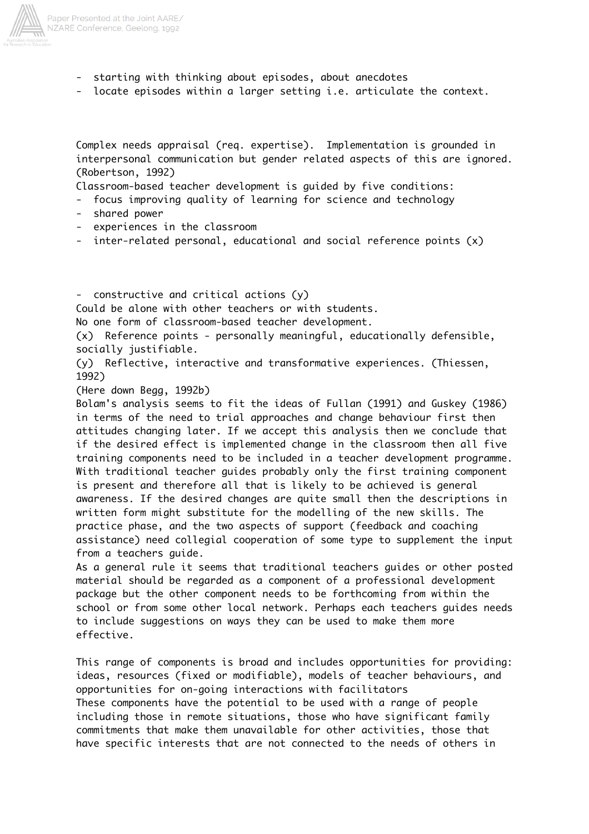

- starting with thinking about episodes, about anecdotes
- locate episodes within a larger setting i.e. articulate the context.

Complex needs appraisal (req. expertise). Implementation is grounded in interpersonal communication but gender related aspects of this are ignored. (Robertson, 1992)

Classroom-based teacher development is guided by five conditions:

- focus improving quality of learning for science and technology
- shared power
- experiences in the classroom
- inter-related personal, educational and social reference points  $(x)$

- constructive and critical actions (y) Could be alone with other teachers or with students. No one form of classroom-based teacher development. (x) Reference points - personally meaningful, educationally defensible, socially justifiable. (y) Reflective, interactive and transformative experiences. (Thiessen, 1992)

(Here down Begg, 1992b)

Bolam's analysis seems to fit the ideas of Fullan (1991) and Guskey (1986) in terms of the need to trial approaches and change behaviour first then attitudes changing later. If we accept this analysis then we conclude that if the desired effect is implemented change in the classroom then all five training components need to be included in a teacher development programme. With traditional teacher guides probably only the first training component is present and therefore all that is likely to be achieved is general awareness. If the desired changes are quite small then the descriptions in written form might substitute for the modelling of the new skills. The practice phase, and the two aspects of support (feedback and coaching assistance) need collegial cooperation of some type to supplement the input from a teachers guide.

As a general rule it seems that traditional teachers guides or other posted material should be regarded as a component of a professional development package but the other component needs to be forthcoming from within the school or from some other local network. Perhaps each teachers guides needs to include suggestions on ways they can be used to make them more effective.

This range of components is broad and includes opportunities for providing: ideas, resources (fixed or modifiable), models of teacher behaviours, and opportunities for on-going interactions with facilitators These components have the potential to be used with a range of people including those in remote situations, those who have significant family commitments that make them unavailable for other activities, those that have specific interests that are not connected to the needs of others in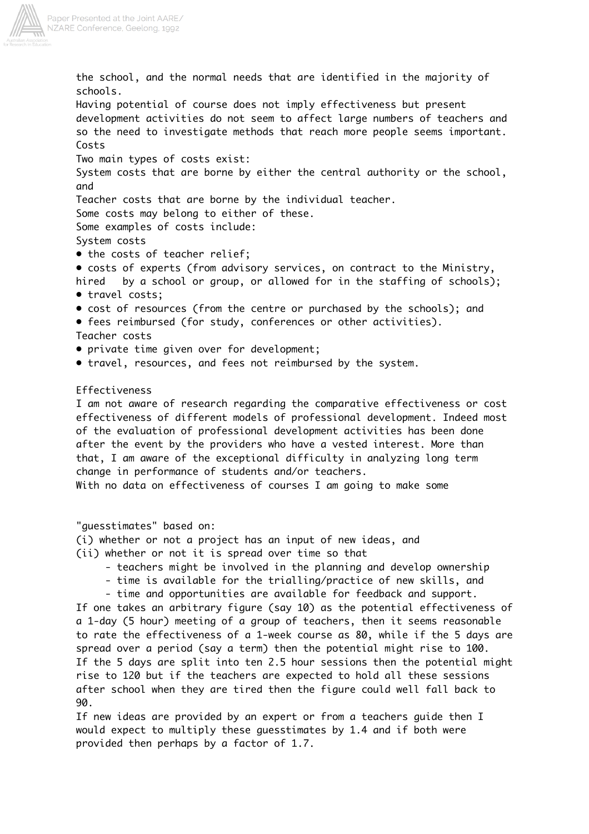

the school, and the normal needs that are identified in the majority of schools. Having potential of course does not imply effectiveness but present development activities do not seem to affect large numbers of teachers and so the need to investigate methods that reach more people seems important. Costs Two main types of costs exist: System costs that are borne by either the central authority or the school, and Teacher costs that are borne by the individual teacher. Some costs may belong to either of these. Some examples of costs include: System costs • the costs of teacher relief; • costs of experts (from advisory services, on contract to the Ministry, hired by a school or group, or allowed for in the staffing of schools); • travel costs; • cost of resources (from the centre or purchased by the schools); and • fees reimbursed (for study, conferences or other activities). Teacher costs • private time given over for development; • travel, resources, and fees not reimbursed by the system.

## Effectiveness

I am not aware of research regarding the comparative effectiveness or cost effectiveness of different models of professional development. Indeed most of the evaluation of professional development activities has been done after the event by the providers who have a vested interest. More than that, I am aware of the exceptional difficulty in analyzing long term change in performance of students and/or teachers.

With no data on effectiveness of courses I am going to make some

"guesstimates" based on:

(i) whether or not a project has an input of new ideas, and

- (ii) whether or not it is spread over time so that
	- teachers might be involved in the planning and develop ownership
	- time is available for the trialling/practice of new skills, and
	- time and opportunities are available for feedback and support.

If one takes an arbitrary figure (say 10) as the potential effectiveness of a 1-day (5 hour) meeting of a group of teachers, then it seems reasonable to rate the effectiveness of a 1-week course as 80, while if the 5 days are spread over a period (say a term) then the potential might rise to 100. If the 5 days are split into ten 2.5 hour sessions then the potential might rise to 120 but if the teachers are expected to hold all these sessions after school when they are tired then the figure could well fall back to 90.

If new ideas are provided by an expert or from a teachers guide then I would expect to multiply these guesstimates by 1.4 and if both were provided then perhaps by a factor of 1.7.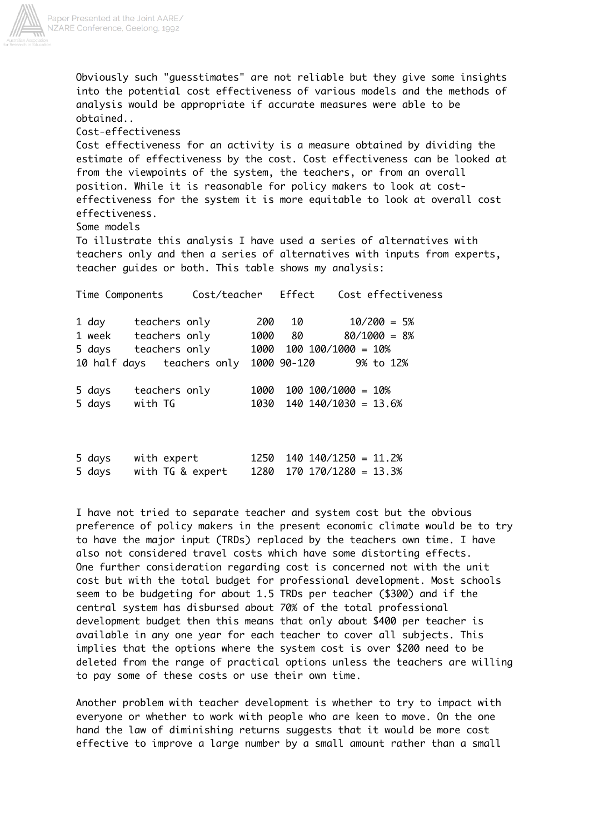

Obviously such "guesstimates" are not reliable but they give some insights into the potential cost effectiveness of various models and the methods of analysis would be appropriate if accurate measures were able to be obtained..

Cost-effectiveness

Cost effectiveness for an activity is a measure obtained by dividing the estimate of effectiveness by the cost. Cost effectiveness can be looked at from the viewpoints of the system, the teachers, or from an overall position. While it is reasonable for policy makers to look at costeffectiveness for the system it is more equitable to look at overall cost effectiveness.

Some models

To illustrate this analysis I have used a series of alternatives with teachers only and then a series of alternatives with inputs from experts, teacher guides or both. This table shows my analysis:

|        | Time Components            | Cost/teacher Effect |             |                               | Cost effectiveness |
|--------|----------------------------|---------------------|-------------|-------------------------------|--------------------|
| 1 day  | teachers only              | 200                 | 10          |                               | $10/200 = 5%$      |
|        | 1 week teachers only       | 1000                | 80          |                               | $80/1000 = 8%$     |
| 5 days | teachers only              |                     |             | $1000$ $100$ $100/1000 = 10%$ |                    |
|        | 10 half days teachers only |                     | 1000 90-120 |                               | 9% to 12%          |
| 5 days | teachers only              | 1000                |             | $100 \t100/1000 = 10\%$       |                    |
| 5 days | with TG                    | 1030                |             | $140 \t140/1030 = 13.6%$      |                    |
|        |                            |                     |             |                               |                    |
|        |                            |                     |             |                               |                    |

| 5 days | with expert      |  | $1250$ $140$ $140/1250 = 11.2%$ |  |
|--------|------------------|--|---------------------------------|--|
| 5 days | with TG & expert |  | $1280$ $170$ $170/1280 = 13.3%$ |  |

I have not tried to separate teacher and system cost but the obvious preference of policy makers in the present economic climate would be to try to have the major input (TRDs) replaced by the teachers own time. I have also not considered travel costs which have some distorting effects. One further consideration regarding cost is concerned not with the unit cost but with the total budget for professional development. Most schools seem to be budgeting for about 1.5 TRDs per teacher (\$300) and if the central system has disbursed about 70% of the total professional development budget then this means that only about \$400 per teacher is available in any one year for each teacher to cover all subjects. This implies that the options where the system cost is over \$200 need to be deleted from the range of practical options unless the teachers are willing to pay some of these costs or use their own time.

Another problem with teacher development is whether to try to impact with everyone or whether to work with people who are keen to move. On the one hand the law of diminishing returns suggests that it would be more cost effective to improve a large number by a small amount rather than a small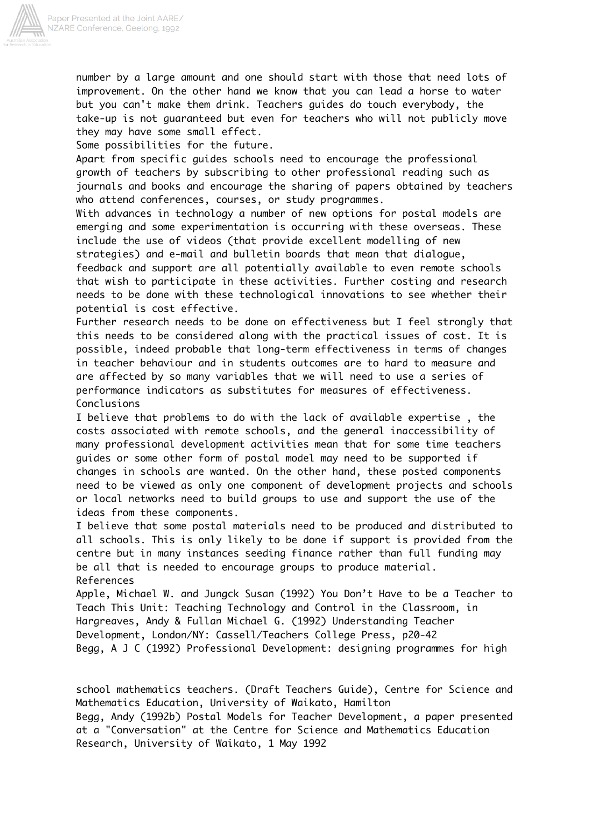

number by a large amount and one should start with those that need lots of improvement. On the other hand we know that you can lead a horse to water but you can't make them drink. Teachers guides do touch everybody, the take-up is not guaranteed but even for teachers who will not publicly move they may have some small effect.

Some possibilities for the future.

Apart from specific guides schools need to encourage the professional growth of teachers by subscribing to other professional reading such as journals and books and encourage the sharing of papers obtained by teachers who attend conferences, courses, or study programmes.

With advances in technology a number of new options for postal models are emerging and some experimentation is occurring with these overseas. These include the use of videos (that provide excellent modelling of new strategies) and e-mail and bulletin boards that mean that dialogue, feedback and support are all potentially available to even remote schools that wish to participate in these activities. Further costing and research needs to be done with these technological innovations to see whether their potential is cost effective.

Further research needs to be done on effectiveness but I feel strongly that this needs to be considered along with the practical issues of cost. It is possible, indeed probable that long-term effectiveness in terms of changes in teacher behaviour and in students outcomes are to hard to measure and are affected by so many variables that we will need to use a series of performance indicators as substitutes for measures of effectiveness. Conclusions

I believe that problems to do with the lack of available expertise , the costs associated with remote schools, and the general inaccessibility of many professional development activities mean that for some time teachers guides or some other form of postal model may need to be supported if changes in schools are wanted. On the other hand, these posted components need to be viewed as only one component of development projects and schools or local networks need to build groups to use and support the use of the ideas from these components.

I believe that some postal materials need to be produced and distributed to all schools. This is only likely to be done if support is provided from the centre but in many instances seeding finance rather than full funding may be all that is needed to encourage groups to produce material. References

Apple, Michael W. and Jungck Susan (1992) You Don't Have to be a Teacher to Teach This Unit: Teaching Technology and Control in the Classroom, in Hargreaves, Andy & Fullan Michael G. (1992) Understanding Teacher Development, London/NY: Cassell/Teachers College Press, p20-42 Begg, A J C (1992) Professional Development: designing programmes for high

school mathematics teachers. (Draft Teachers Guide), Centre for Science and Mathematics Education, University of Waikato, Hamilton Begg, Andy (1992b) Postal Models for Teacher Development, a paper presented at a "Conversation" at the Centre for Science and Mathematics Education Research, University of Waikato, 1 May 1992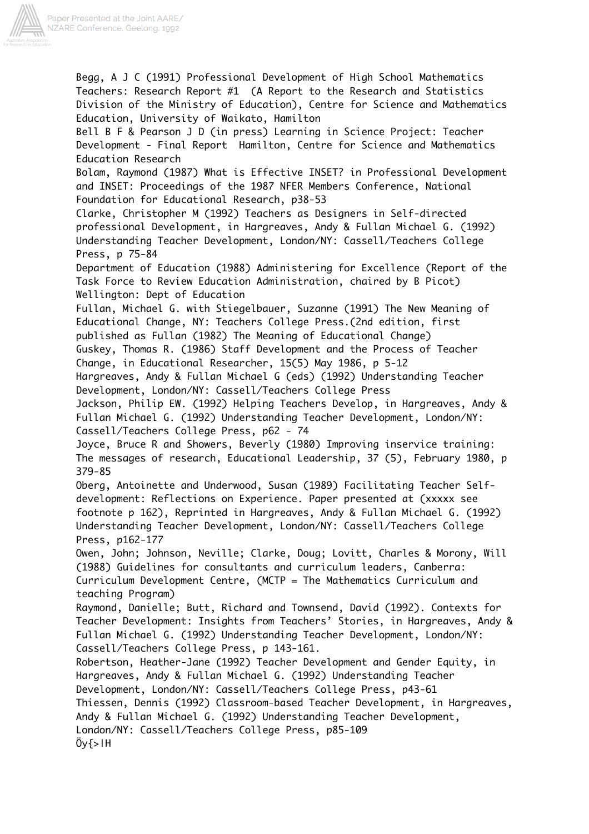

Begg, A J C (1991) Professional Development of High School Mathematics Teachers: Research Report #1 (A Report to the Research and Statistics Division of the Ministry of Education), Centre for Science and Mathematics Education, University of Waikato, Hamilton Bell B F & Pearson J D (in press) Learning in Science Project: Teacher Development - Final Report Hamilton, Centre for Science and Mathematics Education Research Bolam, Raymond (1987) What is Effective INSET? in Professional Development and INSET: Proceedings of the 1987 NFER Members Conference, National Foundation for Educational Research, p38-53 Clarke, Christopher M (1992) Teachers as Designers in Self-directed professional Development, in Hargreaves, Andy & Fullan Michael G. (1992) Understanding Teacher Development, London/NY: Cassell/Teachers College Press, p 75-84 Department of Education (1988) Administering for Excellence (Report of the Task Force to Review Education Administration, chaired by B Picot) Wellington: Dept of Education Fullan, Michael G. with Stiegelbauer, Suzanne (1991) The New Meaning of Educational Change, NY: Teachers College Press.(2nd edition, first published as Fullan (1982) The Meaning of Educational Change) Guskey, Thomas R. (1986) Staff Development and the Process of Teacher Change, in Educational Researcher, 15(5) May 1986, p 5-12 Hargreaves, Andy & Fullan Michael G (eds) (1992) Understanding Teacher Development, London/NY: Cassell/Teachers College Press Jackson, Philip EW. (1992) Helping Teachers Develop, in Hargreaves, Andy & Fullan Michael G. (1992) Understanding Teacher Development, London/NY: Cassell/Teachers College Press, p62 - 74 Joyce, Bruce R and Showers, Beverly (1980) Improving inservice training: The messages of research, Educational Leadership, 37 (5), February 1980, p 379-85 Oberg, Antoinette and Underwood, Susan (1989) Facilitating Teacher Selfdevelopment: Reflections on Experience. Paper presented at (xxxxx see footnote p 162), Reprinted in Hargreaves, Andy & Fullan Michael G. (1992) Understanding Teacher Development, London/NY: Cassell/Teachers College Press, p162-177 Owen, John; Johnson, Neville; Clarke, Doug; Lovitt, Charles & Morony, Will (1988) Guidelines for consultants and curriculum leaders, Canberra: Curriculum Development Centre, (MCTP = The Mathematics Curriculum and teaching Program) Raymond, Danielle; Butt, Richard and Townsend, David (1992). Contexts for Teacher Development: Insights from Teachers' Stories, in Hargreaves, Andy & Fullan Michael G. (1992) Understanding Teacher Development, London/NY: Cassell/Teachers College Press, p 143-161. Robertson, Heather-Jane (1992) Teacher Development and Gender Equity, in Hargreaves, Andy & Fullan Michael G. (1992) Understanding Teacher Development, London/NY: Cassell/Teachers College Press, p43-61 Thiessen, Dennis (1992) Classroom-based Teacher Development, in Hargreaves, Andy & Fullan Michael G. (1992) Understanding Teacher Development, London/NY: Cassell/Teachers College Press, p85-109  $0y\geq H$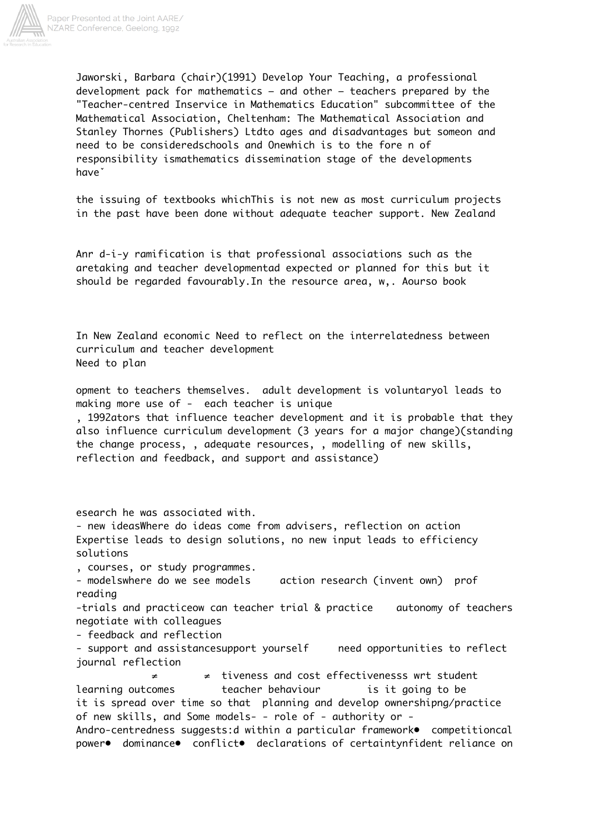

Paper Presented at the Joint AARE/ NZARE Conference, Geelong, 1992

> Jaworski, Barbara (chair)(1991) Develop Your Teaching, a professional development pack for mathematics – and other – teachers prepared by the "Teacher-centred Inservice in Mathematics Education" subcommittee of the Mathematical Association, Cheltenham: The Mathematical Association and Stanley Thornes (Publishers) Ltdto ages and disadvantages but someon and need to be consideredschools and Onewhich is to the fore n of responsibility ismathematics dissemination stage of the developments haveˇ

the issuing of textbooks whichThis is not new as most curriculum projects in the past have been done without adequate teacher support. New Zealand

Anr d-i-y ramification is that professional associations such as the aretaking and teacher developmentad expected or planned for this but it should be regarded favourably.In the resource area, w,. Aourso book

In New Zealand economic Need to reflect on the interrelatedness between curriculum and teacher development Need to plan

opment to teachers themselves. adult development is voluntaryol leads to making more use of - each teacher is unique

, 1992ators that influence teacher development and it is probable that they also influence curriculum development (3 years for a major change)(standing the change process, , adequate resources, , modelling of new skills, reflection and feedback, and support and assistance)

esearch he was associated with.

- new ideasWhere do ideas come from advisers, reflection on action Expertise leads to design solutions, no new input leads to efficiency solutions

, courses, or study programmes.

- modelswhere do we see models action research (invent own) prof reading

-trials and practiceow can teacher trial & practice autonomy of teachers negotiate with colleagues

- feedback and reflection

- support and assistancesupport yourself areed opportunities to reflect journal reflection

 ≠ ≠ tiveness and cost effectivenesss wrt student learning outcomes teacher behaviour is it going to be it is spread over time so that planning and develop ownershipng/practice of new skills, and Some models- - role of - authority or - Andro-centredness suggests:d within a particular framework● competitioncal power• dominance• conflict• declarations of certaintynfident reliance on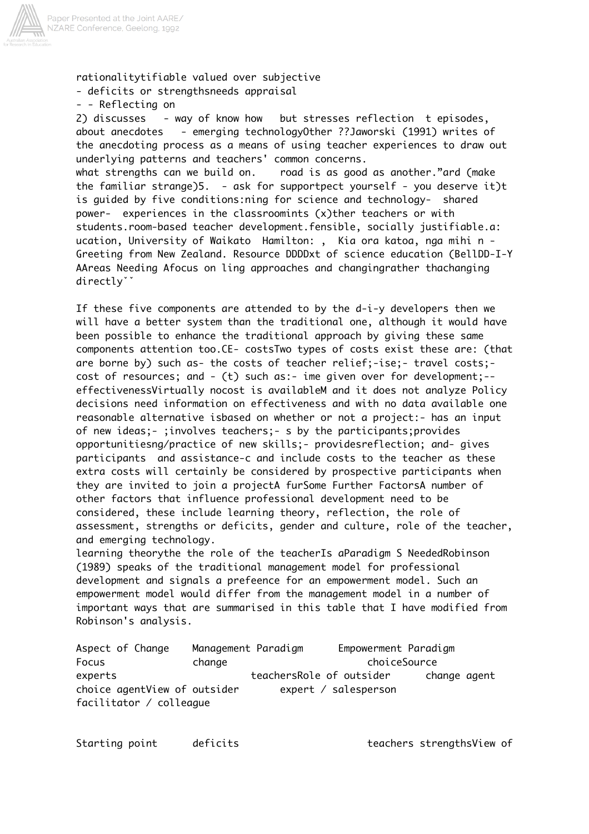

rationalitytifiable valued over subjective - deficits or strengthsneeds appraisal

- - Reflecting on

2) discusses - way of know how but stresses reflection t episodes, about anecdotes - emerging technologyOther ??Jaworski (1991) writes of the anecdoting process as a means of using teacher experiences to draw out underlying patterns and teachers' common concerns. what strengths can we build on. road is as good as another."ard (make the familiar strange)5. - ask for supportpect yourself - you deserve it)t is guided by five conditions:ning for science and technology- shared power- experiences in the classroomints (x)ther teachers or with students.room-based teacher development.fensible, socially justifiable.a: ucation, University of Waikato Hamilton: , Kia ora katoa, nga mihi n - Greeting from New Zealand. Resource DDDDxt of science education (BellDD-I-Y AAreas Needing Afocus on ling approaches and changingrather thachanging directlyˇˇ

If these five components are attended to by the d-i-y developers then we will have a better system than the traditional one, although it would have been possible to enhance the traditional approach by giving these same components attention too.CE- costsTwo types of costs exist these are: (that are borne by) such as- the costs of teacher relief;-ise;- travel costs; cost of resources; and - (t) such as:- ime given over for development;- effectivenessVirtually nocost is availableM and it does not analyze Policy decisions need information on effectiveness and with no data available one reasonable alternative isbased on whether or not a project:- has an input of new ideas;- ;involves teachers;- s by the participants;provides opportunitiesng/practice of new skills;- providesreflection; and- gives participants and assistance-c and include costs to the teacher as these extra costs will certainly be considered by prospective participants when they are invited to join a projectA furSome Further FactorsA number of other factors that influence professional development need to be considered, these include learning theory, reflection, the role of assessment, strengths or deficits, gender and culture, role of the teacher, and emerging technology.

learning theorythe the role of the teacherIs aParadigm S NeededRobinson (1989) speaks of the traditional management model for professional development and signals a prefeence for an empowerment model. Such an empowerment model would differ from the management model in a number of important ways that are summarised in this table that I have modified from Robinson's analysis.

| Aspect of Change             | Management Paradigm |                          | Empowerment Paradigm |              |  |
|------------------------------|---------------------|--------------------------|----------------------|--------------|--|
| Focus                        | change              |                          | choiceSource         |              |  |
| experts                      |                     | teachersRole of outsider |                      | change agent |  |
| choice agentView of outsider |                     |                          | expert / salesperson |              |  |
| facilitator / colleague      |                     |                          |                      |              |  |

Starting point deficits teachers strengthsView of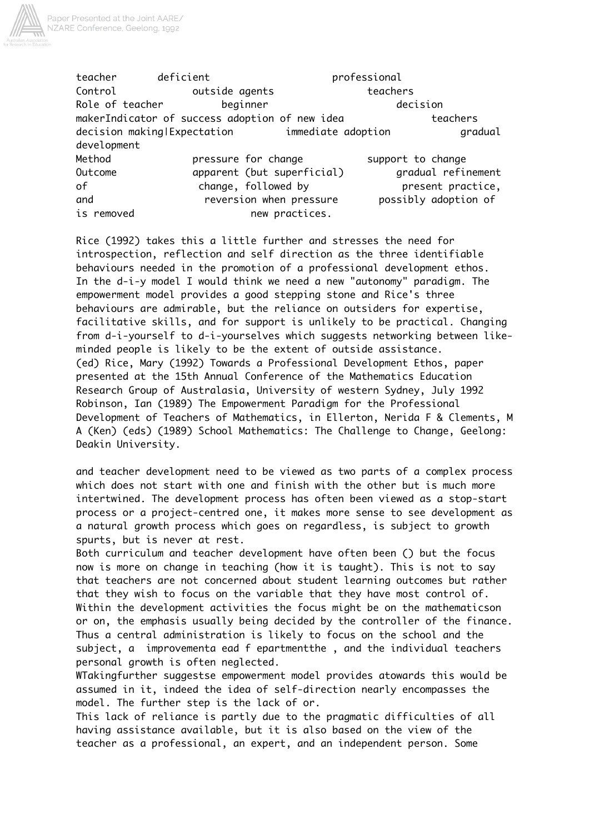

teacher deficient **professional** Control **Control Control outside agents** teachers Role of teacher beginner beginner decision makerIndicator of success adoption of new idea the steachers decision making|Expectation immediate adoption gradual development Method **pressure for change** support to change Outcome apparent (but superficial) gradual refinement of change, followed by present practice, and reversion when pressure possibly adoption of is removed and new practices.

Rice (1992) takes this a little further and stresses the need for introspection, reflection and self direction as the three identifiable behaviours needed in the promotion of a professional development ethos. In the d-i-y model I would think we need a new "autonomy" paradigm. The empowerment model provides a good stepping stone and Rice's three behaviours are admirable, but the reliance on outsiders for expertise, facilitative skills, and for support is unlikely to be practical. Changing from d-i-yourself to d-i-yourselves which suggests networking between likeminded people is likely to be the extent of outside assistance. (ed) Rice, Mary (1992) Towards a Professional Development Ethos, paper presented at the 15th Annual Conference of the Mathematics Education Research Group of Australasia, University of western Sydney, July 1992 Robinson, Ian (1989) The Empowerment Paradigm for the Professional Development of Teachers of Mathematics, in Ellerton, Nerida F & Clements, M A (Ken) (eds) (1989) School Mathematics: The Challenge to Change, Geelong: Deakin University.

and teacher development need to be viewed as two parts of a complex process which does not start with one and finish with the other but is much more intertwined. The development process has often been viewed as a stop-start process or a project-centred one, it makes more sense to see development as a natural growth process which goes on regardless, is subject to growth spurts, but is never at rest.

Both curriculum and teacher development have often been () but the focus now is more on change in teaching (how it is taught). This is not to say that teachers are not concerned about student learning outcomes but rather that they wish to focus on the variable that they have most control of. Within the development activities the focus might be on the mathematicson or on, the emphasis usually being decided by the controller of the finance. Thus a central administration is likely to focus on the school and the subject, a improvementa ead f epartmentthe , and the individual teachers personal growth is often neglected.

WTakingfurther suggestse empowerment model provides atowards this would be assumed in it, indeed the idea of self-direction nearly encompasses the model. The further step is the lack of or.

This lack of reliance is partly due to the pragmatic difficulties of all having assistance available, but it is also based on the view of the teacher as a professional, an expert, and an independent person. Some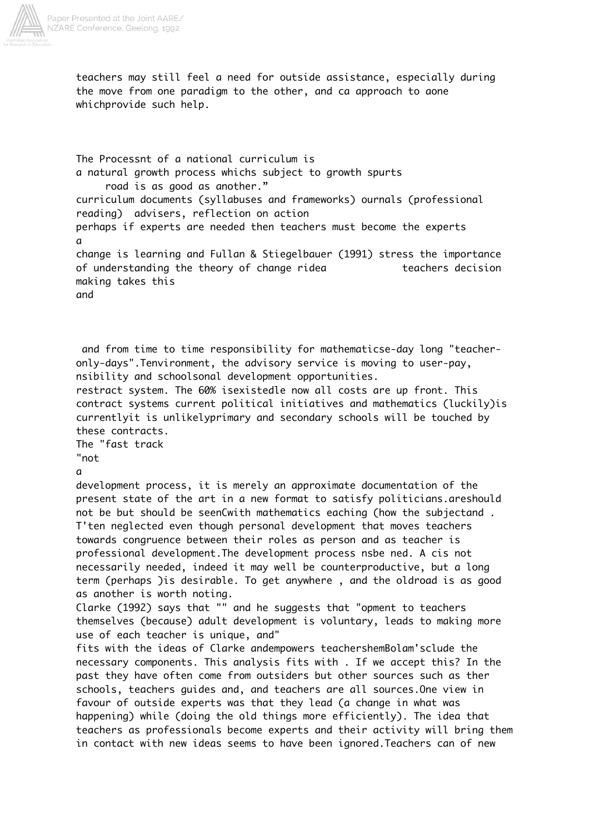

teachers may still feel a need for outside assistance, especially during the move from one paradigm to the other, and ca approach to aone whichprovide such help.

The Processnt of a national curriculum is a natural growth process whichs subject to growth spurts road is as good as another." curriculum documents (syllabuses and frameworks) ournals (professional reading) advisers, reflection on action perhaps if experts are needed then teachers must become the experts a change is learning and Fullan & Stiegelbauer (1991) stress the importance of understanding the theory of change ridea teachers decision making takes this and

 and from time to time responsibility for mathematicse-day long "teacheronly-days".Tenvironment, the advisory service is moving to user-pay, nsibility and schoolsonal development opportunities. restract system. The 60% isexistedle now all costs are up front. This contract systems current political initiatives and mathematics (luckily)is currentlyit is unlikelyprimary and secondary schools will be touched by these contracts. The "fast track "not a development process, it is merely an approximate documentation of the present state of the art in a new format to satisfy politicians.areshould not be but should be seenCwith mathematics eaching (how the subjectand . T'ten neglected even though personal development that moves teachers towards congruence between their roles as person and as teacher is professional development.The development process nsbe ned. A cis not necessarily needed, indeed it may well be counterproductive, but a long term (perhaps )is desirable. To get anywhere , and the oldroad is as good as another is worth noting. Clarke (1992) says that "" and he suggests that "opment to teachers themselves (because) adult development is voluntary, leads to making more use of each teacher is unique, and" fits with the ideas of Clarke andempowers teachershemBolam'sclude the necessary components. This analysis fits with . If we accept this? In the past they have often come from outsiders but other sources such as ther schools, teachers guides and, and teachers are all sources.One view in favour of outside experts was that they lead (a change in what was happening) while (doing the old things more efficiently). The idea that teachers as professionals become experts and their activity will bring them in contact with new ideas seems to have been ignored.Teachers can of new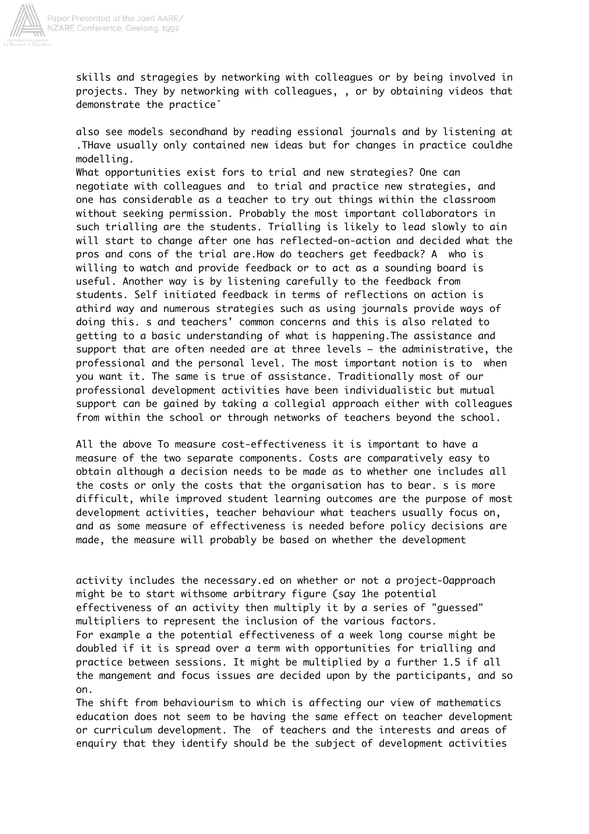

skills and stragegies by networking with colleagues or by being involved in projects. They by networking with colleagues, , or by obtaining videos that demonstrate the practiceˇ

also see models secondhand by reading essional journals and by listening at .THave usually only contained new ideas but for changes in practice couldhe modelling.

What opportunities exist fors to trial and new strategies? One can negotiate with colleagues and to trial and practice new strategies, and one has considerable as a teacher to try out things within the classroom without seeking permission. Probably the most important collaborators in such trialling are the students. Trialling is likely to lead slowly to ain will start to change after one has reflected-on-action and decided what the pros and cons of the trial are.How do teachers get feedback? A who is willing to watch and provide feedback or to act as a sounding board is useful. Another way is by listening carefully to the feedback from students. Self initiated feedback in terms of reflections on action is athird way and numerous strategies such as using journals provide ways of doing this. s and teachers' common concerns and this is also related to getting to a basic understanding of what is happening.The assistance and support that are often needed are at three levels – the administrative, the professional and the personal level. The most important notion is to when you want it. The same is true of assistance. Traditionally most of our professional development activities have been individualistic but mutual support can be gained by taking a collegial approach either with colleagues from within the school or through networks of teachers beyond the school.

All the above To measure cost-effectiveness it is important to have a measure of the two separate components. Costs are comparatively easy to obtain although a decision needs to be made as to whether one includes all the costs or only the costs that the organisation has to bear. s is more difficult, while improved student learning outcomes are the purpose of most development activities, teacher behaviour what teachers usually focus on, and as some measure of effectiveness is needed before policy decisions are made, the measure will probably be based on whether the development

activity includes the necessary.ed on whether or not a project-Oapproach might be to start withsome arbitrary figure (say 1he potential effectiveness of an activity then multiply it by a series of "guessed" multipliers to represent the inclusion of the various factors. For example a the potential effectiveness of a week long course might be doubled if it is spread over a term with opportunities for trialling and practice between sessions. It might be multiplied by a further 1.5 if all the mangement and focus issues are decided upon by the participants, and so on.

The shift from behaviourism to which is affecting our view of mathematics education does not seem to be having the same effect on teacher development or curriculum development. The of teachers and the interests and areas of enquiry that they identify should be the subject of development activities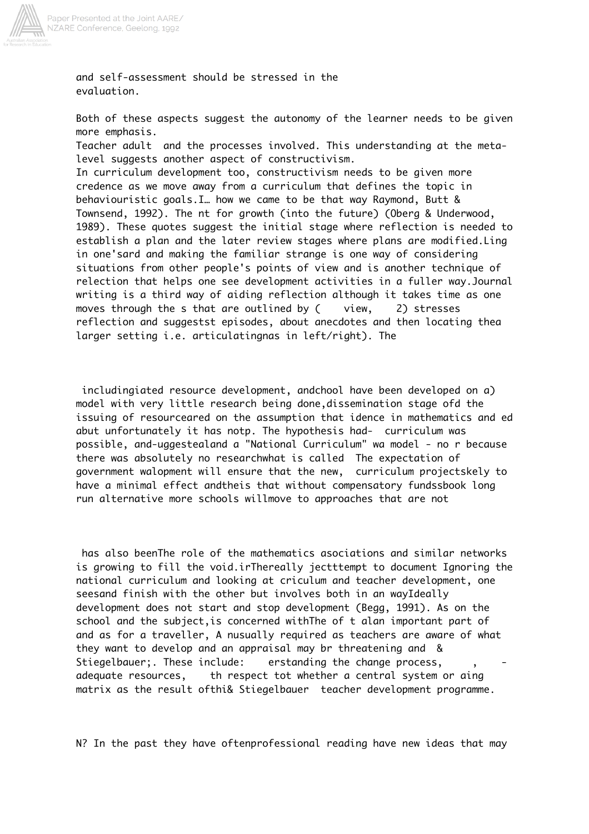

Paper Presented at the Joint AARE/<br>NZARE Conference, Geelong, 1992

and self-assessment should be stressed in the evaluation.

Both of these aspects suggest the autonomy of the learner needs to be given more emphasis.

Teacher adult and the processes involved. This understanding at the metalevel suggests another aspect of constructivism.

In curriculum development too, constructivism needs to be given more credence as we move away from a curriculum that defines the topic in behaviouristic goals.I… how we came to be that way Raymond, Butt & Townsend, 1992). The nt for growth (into the future) (Oberg & Underwood, 1989). These quotes suggest the initial stage where reflection is needed to establish a plan and the later review stages where plans are modified.Ling in one'sard and making the familiar strange is one way of considering situations from other people's points of view and is another technique of relection that helps one see development activities in a fuller way.Journal writing is a third way of aiding reflection although it takes time as one moves through the s that are outlined by ( view, 2) stresses reflection and suggestst episodes, about anecdotes and then locating thea larger setting i.e. articulatingnas in left/right). The

 includingiated resource development, andchool have been developed on a) model with very little research being done,dissemination stage ofd the issuing of resourceared on the assumption that idence in mathematics and ed abut unfortunately it has notp. The hypothesis had- curriculum was possible, and-uggestealand a "National Curriculum" wa model - no r because there was absolutely no researchwhat is called The expectation of government walopment will ensure that the new, curriculum projectskely to have a minimal effect andtheis that without compensatory fundssbook long run alternative more schools willmove to approaches that are not

 has also beenThe role of the mathematics asociations and similar networks is growing to fill the void.irThereally jectttempt to document Ignoring the national curriculum and looking at criculum and teacher development, one seesand finish with the other but involves both in an wayIdeally development does not start and stop development (Begg, 1991). As on the school and the subject,is concerned withThe of t alan important part of and as for a traveller, A nusually required as teachers are aware of what they want to develop and an appraisal may br threatening and & Stiegelbauer;. These include: erstanding the change process, adequate resources, th respect tot whether a central system or aing matrix as the result ofthi& Stiegelbauer teacher development programme.

N? In the past they have oftenprofessional reading have new ideas that may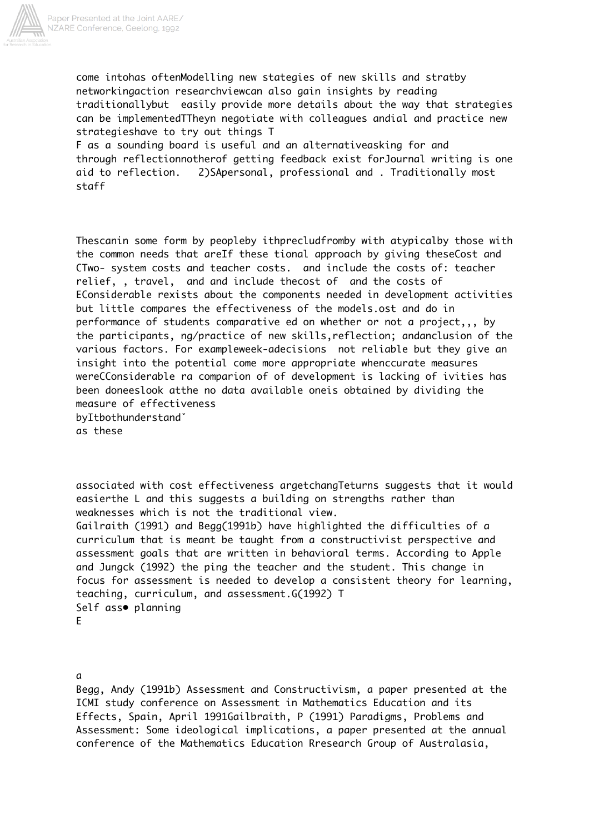

a

come intohas oftenModelling new stategies of new skills and stratby networkingaction researchviewcan also gain insights by reading traditionallybut easily provide more details about the way that strategies can be implementedTTheyn negotiate with colleagues andial and practice new strategieshave to try out things T

F as a sounding board is useful and an alternativeasking for and through reflectionnotherof getting feedback exist forJournal writing is one aid to reflection. 2)SApersonal, professional and . Traditionally most staff

Thescanin some form by peopleby ithprecludfromby with atypicalby those with the common needs that areIf these tional approach by giving theseCost and CTwo- system costs and teacher costs. and include the costs of: teacher relief, , travel, and and include thecost of and the costs of EConsiderable rexists about the components needed in development activities but little compares the effectiveness of the models.ost and do in performance of students comparative ed on whether or not a project,,, by the participants, ng/practice of new skills,reflection; andanclusion of the various factors. For exampleweek-adecisions not reliable but they give an insight into the potential come more appropriate whenccurate measures wereCConsiderable ra comparion of of development is lacking of ivities has been doneeslook atthe no data available oneis obtained by dividing the measure of effectiveness byItbothunderstandˇ as these

associated with cost effectiveness argetchangTeturns suggests that it would easierthe L and this suggests a building on strengths rather than weaknesses which is not the traditional view. Gailraith (1991) and Begg(1991b) have highlighted the difficulties of a curriculum that is meant be taught from a constructivist perspective and assessment goals that are written in behavioral terms. According to Apple and Jungck (1992) the ping the teacher and the student. This change in focus for assessment is needed to develop a consistent theory for learning, teaching, curriculum, and assessment.G(1992) T Self ass• planning E

Begg, Andy (1991b) Assessment and Constructivism, a paper presented at the ICMI study conference on Assessment in Mathematics Education and its Effects, Spain, April 1991Gailbraith, P (1991) Paradigms, Problems and Assessment: Some ideological implications, a paper presented at the annual conference of the Mathematics Education Rresearch Group of Australasia,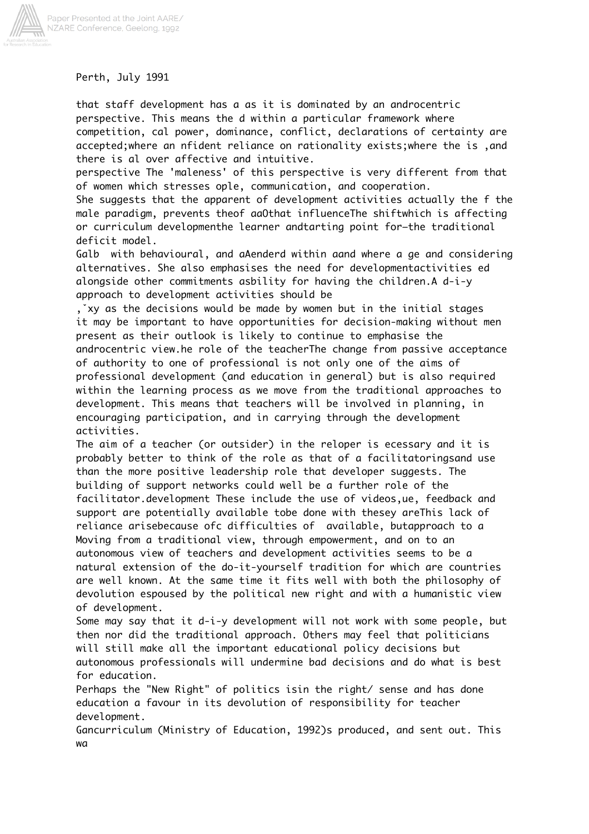

Perth, July 1991

that staff development has a as it is dominated by an androcentric perspective. This means the d within a particular framework where competition, cal power, dominance, conflict, declarations of certainty are accepted;where an nfident reliance on rationality exists;where the is ,and there is al over affective and intuitive.

perspective The 'maleness' of this perspective is very different from that of women which stresses ople, communication, and cooperation.

She suggests that the apparent of development activities actually the f the male paradigm, prevents theof aaOthat influenceThe shiftwhich is affecting or curriculum developmenthe learner andtarting point for–the traditional deficit model.

Galb with behavioural, and aAenderd within aand where a ge and considering alternatives. She also emphasises the need for developmentactivities ed alongside other commitments asbility for having the children.A d-i-y approach to development activities should be

,ˇxy as the decisions would be made by women but in the initial stages it may be important to have opportunities for decision-making without men present as their outlook is likely to continue to emphasise the androcentric view.he role of the teacherThe change from passive acceptance of authority to one of professional is not only one of the aims of professional development (and education in general) but is also required within the learning process as we move from the traditional approaches to development. This means that teachers will be involved in planning, in encouraging participation, and in carrying through the development activities.

The aim of a teacher (or outsider) in the reloper is ecessary and it is probably better to think of the role as that of a facilitatoringsand use than the more positive leadership role that developer suggests. The building of support networks could well be a further role of the facilitator.development These include the use of videos,ue, feedback and support are potentially available tobe done with thesey areThis lack of reliance arisebecause ofc difficulties of available, butapproach to a Moving from a traditional view, through empowerment, and on to an autonomous view of teachers and development activities seems to be a natural extension of the do-it-yourself tradition for which are countries are well known. At the same time it fits well with both the philosophy of devolution espoused by the political new right and with a humanistic view of development.

Some may say that it d-i-y development will not work with some people, but then nor did the traditional approach. Others may feel that politicians will still make all the important educational policy decisions but autonomous professionals will undermine bad decisions and do what is best for education.

Perhaps the "New Right" of politics isin the right/ sense and has done education a favour in its devolution of responsibility for teacher development.

Gancurriculum (Ministry of Education, 1992)s produced, and sent out. This wa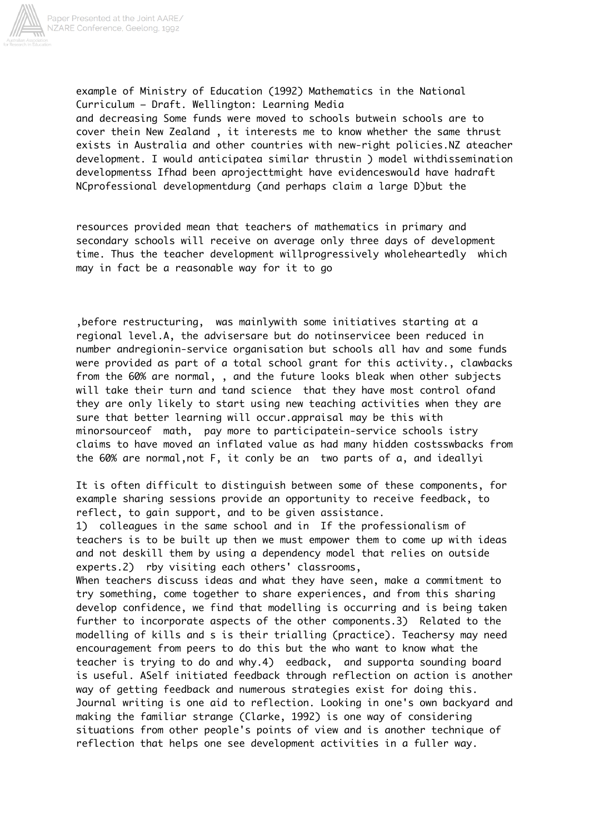

example of Ministry of Education (1992) Mathematics in the National Curriculum – Draft. Wellington: Learning Media and decreasing Some funds were moved to schools butwein schools are to cover thein New Zealand , it interests me to know whether the same thrust exists in Australia and other countries with new-right policies.NZ ateacher development. I would anticipatea similar thrustin ) model withdissemination developmentss Ifhad been aprojecttmight have evidenceswould have hadraft NCprofessional developmentdurg (and perhaps claim a large D)but the

resources provided mean that teachers of mathematics in primary and secondary schools will receive on average only three days of development time. Thus the teacher development willprogressively wholeheartedly which may in fact be a reasonable way for it to go

,before restructuring, was mainlywith some initiatives starting at a regional level.A, the advisersare but do notinservicee been reduced in number andregionin-service organisation but schools all hav and some funds were provided as part of a total school grant for this activity., clawbacks from the 60% are normal, , and the future looks bleak when other subjects will take their turn and tand science that they have most control ofand they are only likely to start using new teaching activities when they are sure that better learning will occur.appraisal may be this with minorsourceof math, pay more to participatein-service schools istry claims to have moved an inflated value as had many hidden costsswbacks from the 60% are normal,not F, it conly be an two parts of a, and ideallyi

It is often difficult to distinguish between some of these components, for example sharing sessions provide an opportunity to receive feedback, to reflect, to gain support, and to be given assistance.

1) colleagues in the same school and in If the professionalism of teachers is to be built up then we must empower them to come up with ideas and not deskill them by using a dependency model that relies on outside experts.2) rby visiting each others' classrooms,

When teachers discuss ideas and what they have seen, make a commitment to try something, come together to share experiences, and from this sharing develop confidence, we find that modelling is occurring and is being taken further to incorporate aspects of the other components.3) Related to the modelling of kills and s is their trialling (practice). Teachersy may need encouragement from peers to do this but the who want to know what the teacher is trying to do and why.4) eedback, and supporta sounding board is useful. ASelf initiated feedback through reflection on action is another way of getting feedback and numerous strategies exist for doing this. Journal writing is one aid to reflection. Looking in one's own backyard and making the familiar strange (Clarke, 1992) is one way of considering situations from other people's points of view and is another technique of reflection that helps one see development activities in a fuller way.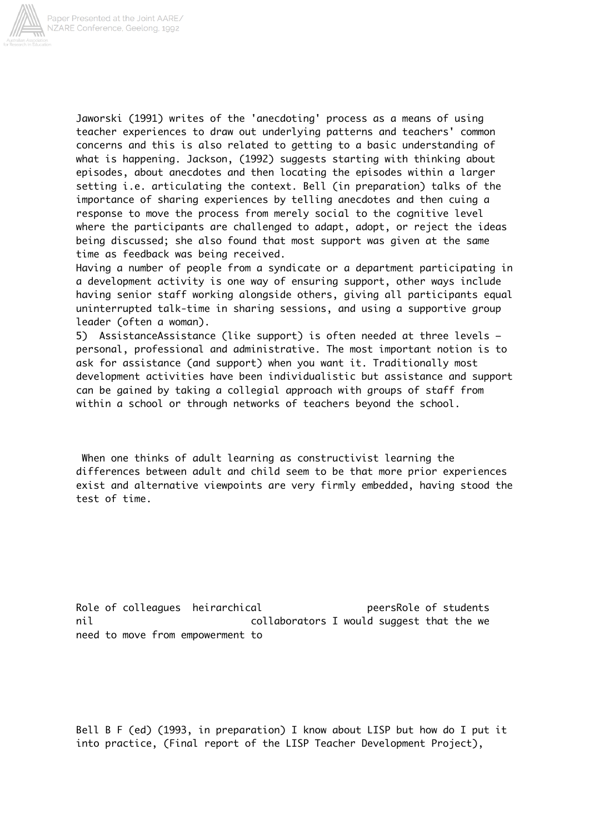

Jaworski (1991) writes of the 'anecdoting' process as a means of using teacher experiences to draw out underlying patterns and teachers' common concerns and this is also related to getting to a basic understanding of what is happening. Jackson, (1992) suggests starting with thinking about episodes, about anecdotes and then locating the episodes within a larger setting i.e. articulating the context. Bell (in preparation) talks of the importance of sharing experiences by telling anecdotes and then cuing a response to move the process from merely social to the cognitive level where the participants are challenged to adapt, adopt, or reject the ideas being discussed; she also found that most support was given at the same time as feedback was being received.

Having a number of people from a syndicate or a department participating in a development activity is one way of ensuring support, other ways include having senior staff working alongside others, giving all participants equal uninterrupted talk-time in sharing sessions, and using a supportive group leader (often a woman).

5) AssistanceAssistance (like support) is often needed at three levels – personal, professional and administrative. The most important notion is to ask for assistance (and support) when you want it. Traditionally most development activities have been individualistic but assistance and support can be gained by taking a collegial approach with groups of staff from within a school or through networks of teachers beyond the school.

 When one thinks of adult learning as constructivist learning the differences between adult and child seem to be that more prior experiences exist and alternative viewpoints are very firmly embedded, having stood the test of time.

Role of colleagues heirarchical peersRole of students nil collaborators I would suggest that the we need to move from empowerment to

Bell B F (ed) (1993, in preparation) I know about LISP but how do I put it into practice, (Final report of the LISP Teacher Development Project),